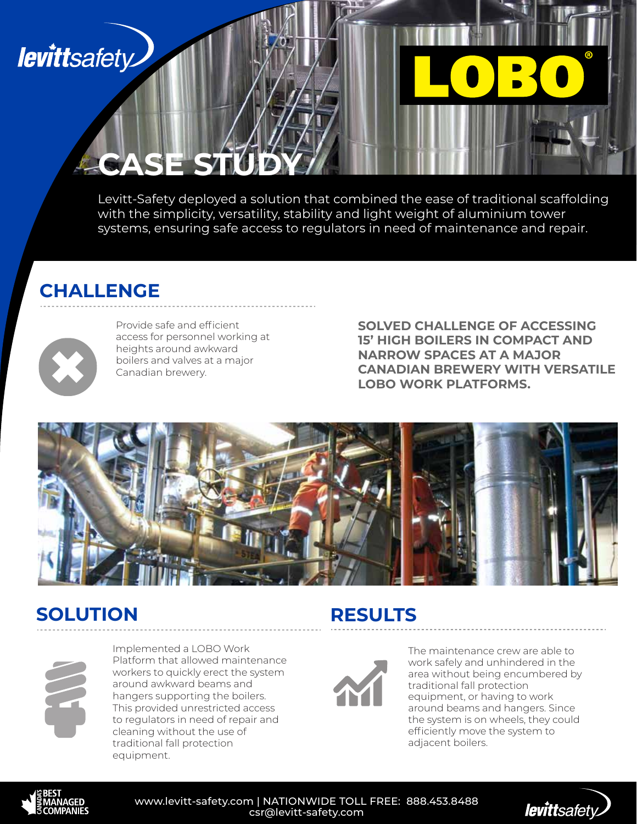## **levittsafety**

Levitt-Safety deployed a solution that combined the ease of traditional scaffolding with the simplicity, versatility, stability and light weight of aluminium tower systems, ensuring safe access to regulators in need of maintenance and repair.

### **CHALLENGE**

**CASE ST** 



Provide safe and efficient access for personnel working at heights around awkward boilers and valves at a major Canadian brewery.

**SOLVED CHALLENGE OF ACCESSING 15' HIGH BOILERS IN COMPACT AND NARROW SPACES AT A MAJOR CANADIAN BREWERY WITH VERSATILE LOBO WORK PLATFORMS.**



#### **SOLUTION RESULTS**



Implemented a LOBO Work Platform that allowed maintenance workers to quickly erect the system around awkward beams and hangers supporting the boilers. This provided unrestricted access to regulators in need of repair and cleaning without the use of traditional fall protection equipment.



The maintenance crew are able to work safely and unhindered in the area without being encumbered by traditional fall protection equipment, or having to work around beams and hangers. Since the system is on wheels, they could efficiently move the system to adjacent boilers.



www.levitt-safety.com | NATIONWIDE TOLL FREE: 888.453.8488 csr@levitt-safety.com